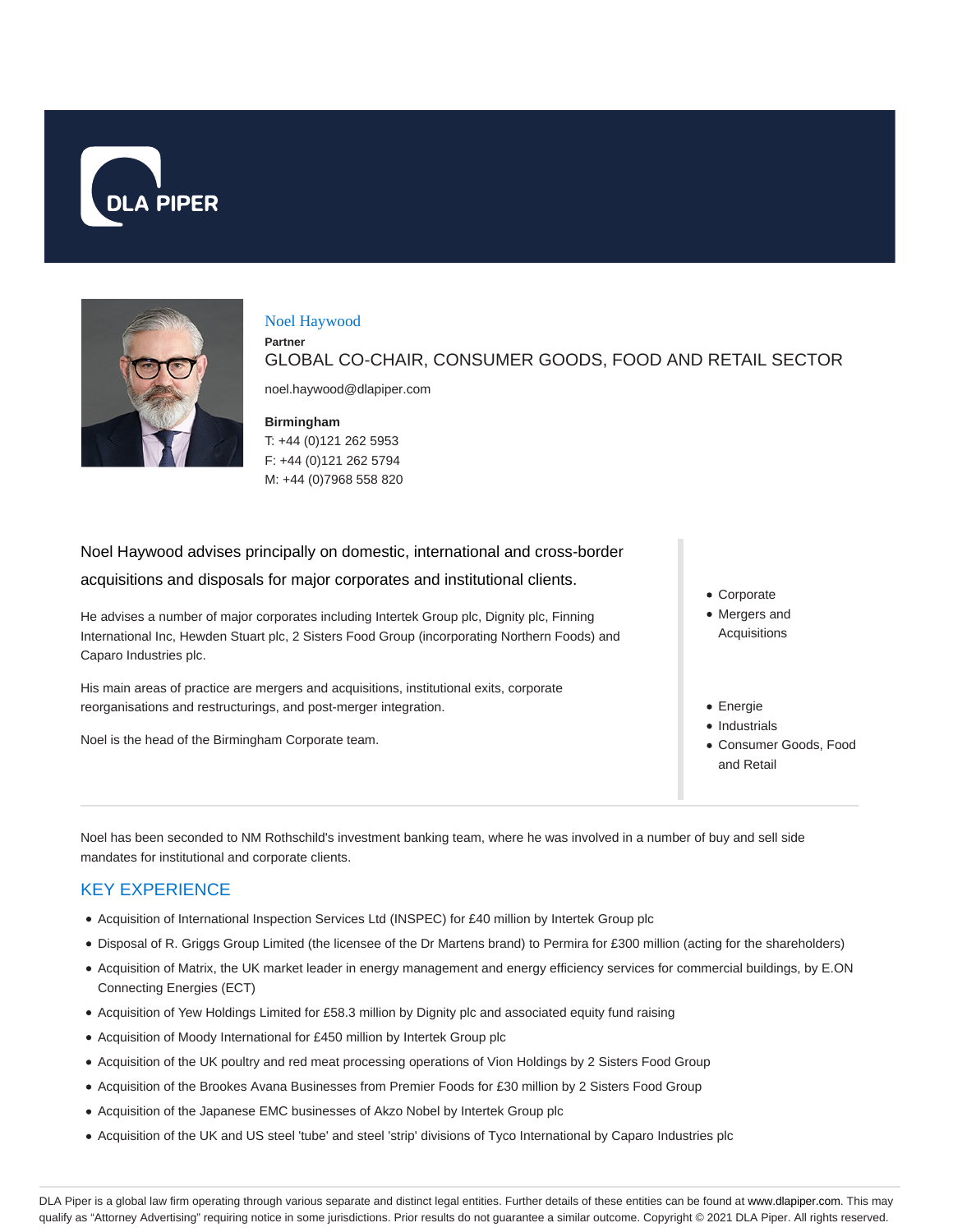



#### Noel Haywood

**Partner** GLOBAL CO-CHAIR, CONSUMER GOODS, FOOD AND RETAIL SECTOR

noel.haywood@dlapiper.com

#### **Birmingham**

T: +44 (0)121 262 5953 F: +44 (0)121 262 5794 M: +44 (0)7968 558 820

Noel Haywood advises principally on domestic, international and cross-border acquisitions and disposals for major corporates and institutional clients.

He advises a number of major corporates including Intertek Group plc, Dignity plc, Finning International Inc, Hewden Stuart plc, 2 Sisters Food Group (incorporating Northern Foods) and Caparo Industries plc.

His main areas of practice are mergers and acquisitions, institutional exits, corporate reorganisations and restructurings, and post-merger integration.

Noel is the head of the Birmingham Corporate team.

- Corporate
- Mergers and Acquisitions
- Energie
- Industrials
- Consumer Goods, Food and Retail

Noel has been seconded to NM Rothschild's investment banking team, where he was involved in a number of buy and sell side mandates for institutional and corporate clients.

# KEY EXPERIENCE

- Acquisition of International Inspection Services Ltd (INSPEC) for £40 million by Intertek Group plc
- Disposal of R. Griggs Group Limited (the licensee of the Dr Martens brand) to Permira for £300 million (acting for the shareholders)
- Acquisition of Matrix, the UK market leader in energy management and energy efficiency services for commercial buildings, by E.ON Connecting Energies (ECT)
- Acquisition of Yew Holdings Limited for £58.3 million by Dignity plc and associated equity fund raising
- Acquisition of Moody International for £450 million by Intertek Group plc
- Acquisition of the UK poultry and red meat processing operations of Vion Holdings by 2 Sisters Food Group
- Acquisition of the Brookes Avana Businesses from Premier Foods for £30 million by 2 Sisters Food Group
- Acquisition of the Japanese EMC businesses of Akzo Nobel by Intertek Group plc
- Acquisition of the UK and US steel 'tube' and steel 'strip' divisions of Tyco International by Caparo Industries plc